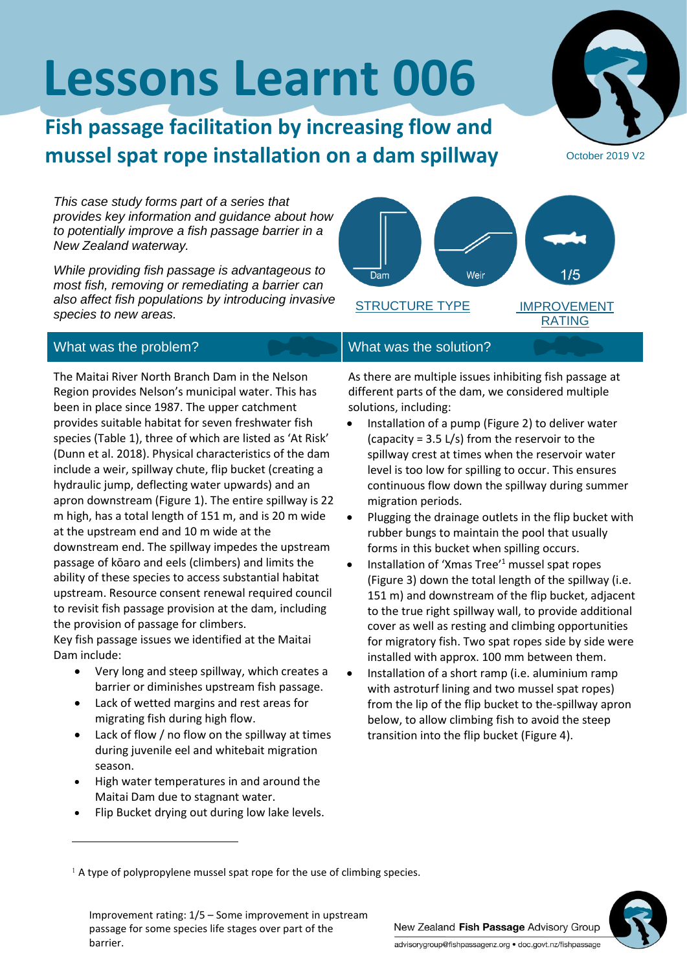# **Lessons Learnt 006**

## **Fish passage facilitation by increasing flow and mussel spat rope installation on a dam spillway**

*This case study forms part of a series that provides key information and guidance about how to potentially improve a fish passage barrier in a New Zealand waterway.*

*While providing fish passage is advantageous to most fish, removing or remediating a barrier can also affect fish populations by introducing invasive species to new areas.*

### What was the problem? What was the solution?

The Maitai River North Branch Dam in the Nelson Region provides Nelson's municipal water. This has been in place since 1987. The upper catchment provides suitable habitat for seven freshwater fish species (Table 1), three of which are listed as 'At Risk' (Dunn et al. 2018). Physical characteristics of the dam include a weir, spillway chute, flip bucket (creating a hydraulic jump, deflecting water upwards) and an apron downstream (Figure 1). The entire spillway is 22 m high, has a total length of 151 m, and is 20 m wide at the upstream end and 10 m wide at the downstream end. The spillway impedes the upstream passage of kōaro and eels (climbers) and limits the ability of these species to access substantial habitat upstream. Resource consent renewal required council to revisit fish passage provision at the dam, including the provision of passage for climbers. Key fish passage issues we identified at the Maitai

Dam include:

- Very long and steep spillway, which creates a barrier or diminishes upstream fish passage.
- Lack of wetted margins and rest areas for migrating fish during high flow.
- Lack of flow  $/$  no flow on the spillway at times during juvenile eel and whitebait migration season.
- High water temperatures in and around the Maitai Dam due to stagnant water.
- Flip Bucket drying out during low lake levels.

# $1/5$ Dam Weir STRUCTURE TYPE IMPROVEMENT RATING

As there are multiple issues inhibiting fish passage at different parts of the dam, we considered multiple solutions, including:

- Installation of a pump (Figure 2) to deliver water (capacity = 3.5 L/s) from the reservoir to the spillway crest at times when the reservoir water level is too low for spilling to occur. This ensures continuous flow down the spillway during summer migration periods.
- Plugging the drainage outlets in the flip bucket with rubber bungs to maintain the pool that usually forms in this bucket when spilling occurs.
- Installation of 'Xmas Tree'<sup>1</sup> mussel spat ropes (Figure 3) down the total length of the spillway (i.e. 151 m) and downstream of the flip bucket, adjacent to the true right spillway wall, to provide additional cover as well as resting and climbing opportunities for migratory fish. Two spat ropes side by side were installed with approx. 100 mm between them.
- Installation of a short ramp (i.e. aluminium ramp with astroturf lining and two mussel spat ropes) from the lip of the flip bucket to the-spillway apron below, to allow climbing fish to avoid the steep transition into the flip bucket (Figure 4).

<sup>1</sup> A type of polypropylene mussel spat rope for the use of climbing species.

Improvement rating: 1/5 – Some improvement in upstream passage for some species life stages over part of the barrier.





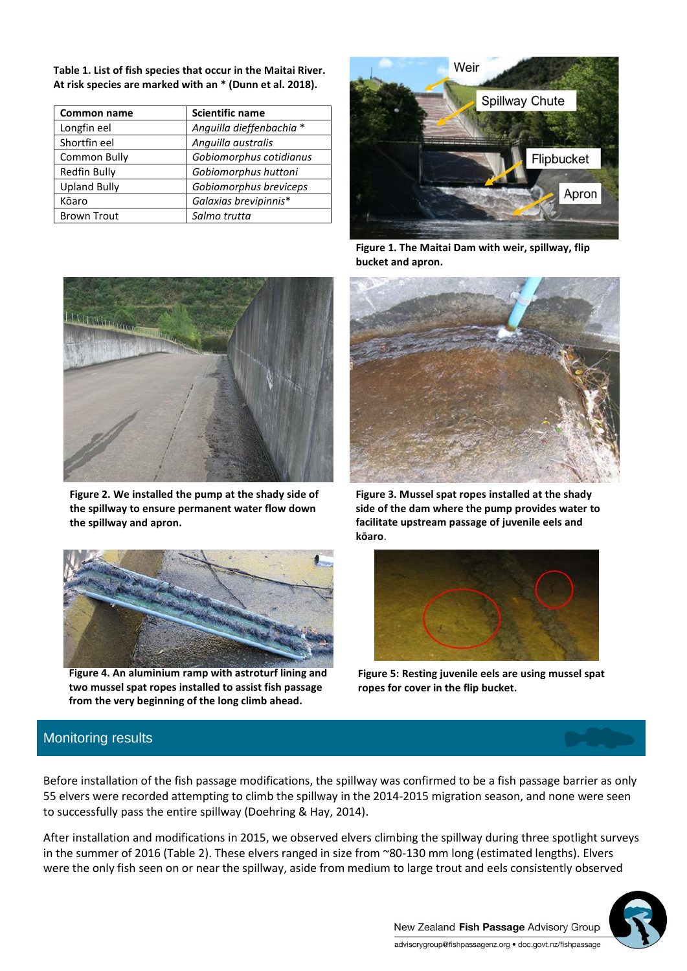**Table 1. List of fish species that occur in the Maitai River. At risk species are marked with an \* (Dunn et al. 2018).**

| <b>Common name</b>  | <b>Scientific name</b>   |  |
|---------------------|--------------------------|--|
| Longfin eel         | Anguilla dieffenbachia * |  |
| Shortfin eel        | Anguilla australis       |  |
| Common Bully        | Gobiomorphus cotidianus  |  |
| Redfin Bully        | Gobiomorphus huttoni     |  |
| <b>Upland Bully</b> | Gobiomorphus breviceps   |  |
| Kōaro               | Galaxias brevipinnis*    |  |
| <b>Brown Trout</b>  | Salmo trutta             |  |



**Figure 1. The Maitai Dam with weir, spillway, flip bucket and apron.**



**Figure 2. We installed the pump at the shady side of the spillway to ensure permanent water flow down the spillway and apron.**



**Figure 4. An aluminium ramp with astroturf lining and two mussel spat ropes installed to assist fish passage from the very beginning of the long climb ahead.**



**Figure 3. Mussel spat ropes installed at the shady side of the dam where the pump provides water to facilitate upstream passage of juvenile eels and kōaro**.



**Figure 5: Resting juvenile eels are using mussel spat ropes for cover in the flip bucket.**

### Monitoring results

Before installation of the fish passage modifications, the spillway was confirmed to be a fish passage barrier as only 55 elvers were recorded attempting to climb the spillway in the 2014-2015 migration season, and none were seen to successfully pass the entire spillway (Doehring & Hay, 2014).

After installation and modifications in 2015, we observed elvers climbing the spillway during three spotlight surveys in the summer of 2016 (Table 2). These elvers ranged in size from ~80-130 mm long (estimated lengths). Elvers were the only fish seen on or near the spillway, aside from medium to large trout and eels consistently observed

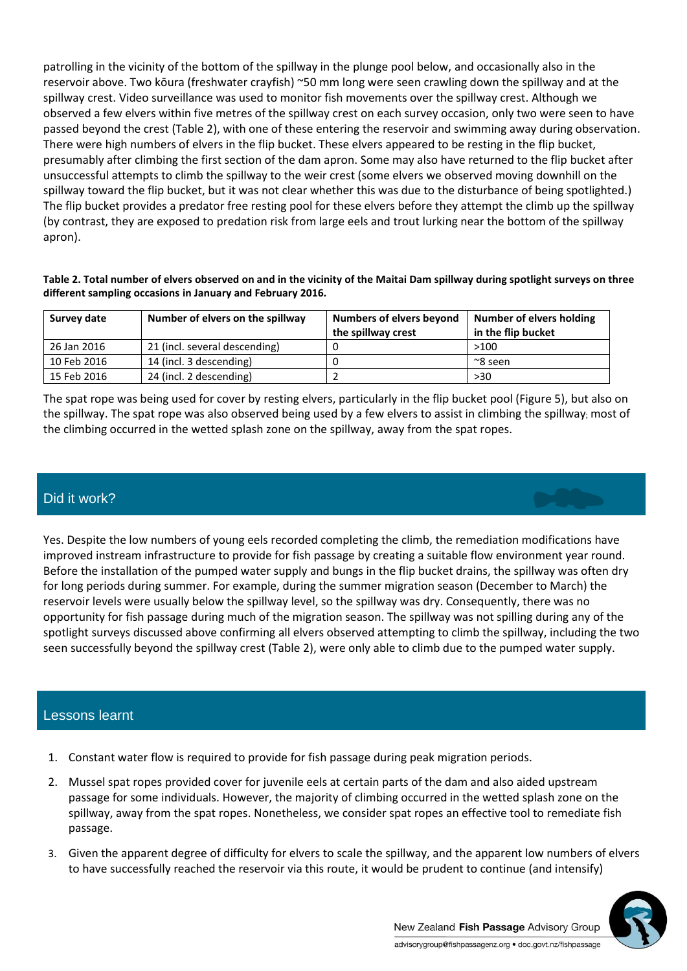patrolling in the vicinity of the bottom of the spillway in the plunge pool below, and occasionally also in the reservoir above. Two kōura (freshwater crayfish) ~50 mm long were seen crawling down the spillway and at the spillway crest. Video surveillance was used to monitor fish movements over the spillway crest. Although we observed a few elvers within five metres of the spillway crest on each survey occasion, only two were seen to have passed beyond the crest (Table 2), with one of these entering the reservoir and swimming away during observation. There were high numbers of elvers in the flip bucket. These elvers appeared to be resting in the flip bucket, presumably after climbing the first section of the dam apron. Some may also have returned to the flip bucket after unsuccessful attempts to climb the spillway to the weir crest (some elvers we observed moving downhill on the spillway toward the flip bucket, but it was not clear whether this was due to the disturbance of being spotlighted.) The flip bucket provides a predator free resting pool for these elvers before they attempt the climb up the spillway (by contrast, they are exposed to predation risk from large eels and trout lurking near the bottom of the spillway apron).

**Table 2. Total number of elvers observed on and in the vicinity of the Maitai Dam spillway during spotlight surveys on three different sampling occasions in January and February 2016.** 

| Survey date | Number of elvers on the spillway | Numbers of elvers beyond<br>the spillway crest | Number of elvers holding<br>in the flip bucket |
|-------------|----------------------------------|------------------------------------------------|------------------------------------------------|
| 26 Jan 2016 | 21 (incl. several descending)    |                                                | >100                                           |
| 10 Feb 2016 | 14 (incl. 3 descending)          |                                                | $^{\sim}$ 8 seen                               |
| 15 Feb 2016 | 24 (incl. 2 descending)          |                                                | >30                                            |

The spat rope was being used for cover by resting elvers, particularly in the flip bucket pool (Figure 5), but also on the spillway. The spat rope was also observed being used by a few elvers to assist in climbing the spillway; most of the climbing occurred in the wetted splash zone on the spillway, away from the spat ropes.

#### Did it work?

Yes. Despite the low numbers of young eels recorded completing the climb, the remediation modifications have improved instream infrastructure to provide for fish passage by creating a suitable flow environment year round. Before the installation of the pumped water supply and bungs in the flip bucket drains, the spillway was often dry for long periods during summer. For example, during the summer migration season (December to March) the reservoir levels were usually below the spillway level, so the spillway was dry. Consequently, there was no opportunity for fish passage during much of the migration season. The spillway was not spilling during any of the spotlight surveys discussed above confirming all elvers observed attempting to climb the spillway, including the two seen successfully beyond the spillway crest (Table 2), were only able to climb due to the pumped water supply.

#### Lessons learnt

- 1. Constant water flow is required to provide for fish passage during peak migration periods.
- 2. Mussel spat ropes provided cover for juvenile eels at certain parts of the dam and also aided upstream passage for some individuals. However, the majority of climbing occurred in the wetted splash zone on the spillway, away from the spat ropes. Nonetheless, we consider spat ropes an effective tool to remediate fish passage.
- 3. Given the apparent degree of difficulty for elvers to scale the spillway, and the apparent low numbers of elvers to have successfully reached the reservoir via this route, it would be prudent to continue (and intensify)